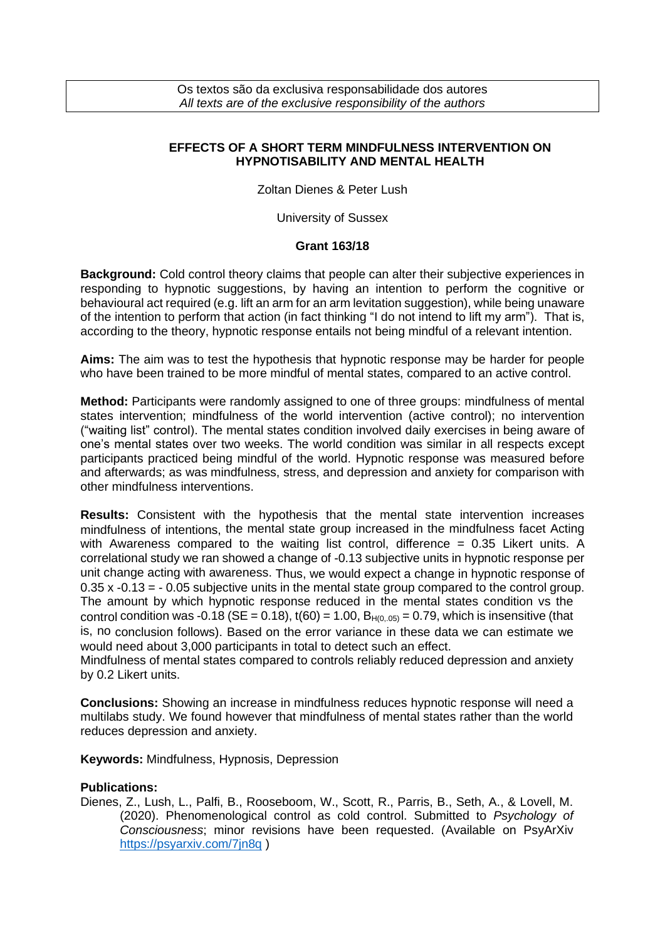Os textos são da exclusiva responsabilidade dos autores *All texts are of the exclusive responsibility of the authors*

## **EFFECTS OF A SHORT TERM MINDFULNESS INTERVENTION ON HYPNOTISABILITY AND MENTAL HEALTH**

Zoltan Dienes & Peter Lush

University of Sussex

## **Grant 163/18**

**Background:** Cold control theory claims that people can alter their subjective experiences in responding to hypnotic suggestions, by having an intention to perform the cognitive or behavioural act required (e.g. lift an arm for an arm levitation suggestion), while being unaware of the intention to perform that action (in fact thinking "I do not intend to lift my arm"). That is, according to the theory, hypnotic response entails not being mindful of a relevant intention.

**Aims:** The aim was to test the hypothesis that hypnotic response may be harder for people who have been trained to be more mindful of mental states, compared to an active control.

**Method:** Participants were randomly assigned to one of three groups: mindfulness of mental states intervention; mindfulness of the world intervention (active control); no intervention ("waiting list" control). The mental states condition involved daily exercises in being aware of one's mental states over two weeks. The world condition was similar in all respects except participants practiced being mindful of the world. Hypnotic response was measured before and afterwards; as was mindfulness, stress, and depression and anxiety for comparison with other mindfulness interventions.

**Results:** Consistent with the hypothesis that the mental state intervention increases mindfulness of intentions, the mental state group increased in the mindfulness facet Acting with Awareness compared to the waiting list control, difference  $= 0.35$  Likert units. A correlational study we ran showed a change of -0.13 subjective units in hypnotic response per unit change acting with awareness. Thus, we would expect a change in hypnotic response of 0.35 x -0.13 = - 0.05 subjective units in the mental state group compared to the control group. The amount by which hypnotic response reduced in the mental states condition vs the control condition was -0.18 ( $SE = 0.18$ ),  $t(60) = 1.00$ ,  $B_{H(0.05)} = 0.79$ , which is insensitive (that is, no conclusion follows). Based on the error variance in these data we can estimate we would need about 3,000 participants in total to detect such an effect.

Mindfulness of mental states compared to controls reliably reduced depression and anxiety by 0.2 Likert units.

**Conclusions:** Showing an increase in mindfulness reduces hypnotic response will need a multilabs study. We found however that mindfulness of mental states rather than the world reduces depression and anxiety.

**Keywords:** Mindfulness, Hypnosis, Depression

## **Publications:**

Dienes, Z., Lush, L., Palfi, B., Rooseboom, W., Scott, R., Parris, B., Seth, A., & Lovell, M. (2020). Phenomenological control as cold control. Submitted to *Psychology of Consciousness*; minor revisions have been requested. (Available on PsyArXiv <https://psyarxiv.com/7jn8q> )